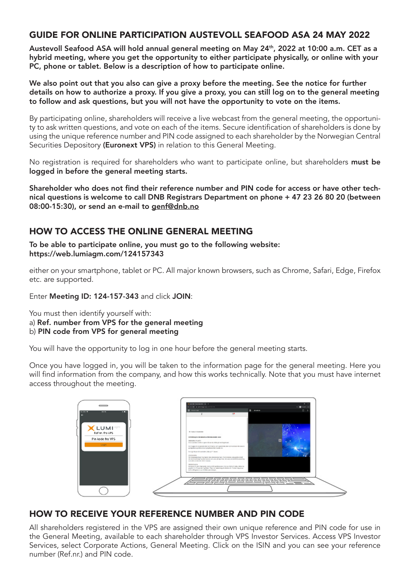## GUIDE FOR ONLINE PARTICIPATION AUSTEVOLL SEAFOOD ASA 24 MAY 2022

Austevoll Seafood ASA will hold annual general meeting on May 24<sup>th</sup>, 2022 at 10:00 a.m. CET as a hybrid meeting, where you get the opportunity to either participate physically, or online with your PC, phone or tablet. Below is a description of how to participate online.

We also point out that you also can give a proxy before the meeting. See the notice for further details on how to authorize a proxy. If you give a proxy, you can still log on to the general meeting to follow and ask questions, but you will not have the opportunity to vote on the items.

By participating online, shareholders will receive a live webcast from the general meeting, the opportunity to ask written questions, and vote on each of the items. Secure identification of shareholders is done by using the unique reference number and PIN code assigned to each shareholder by the Norwegian Central Securities Depository (Euronext VPS) in relation to this General Meeting.

No registration is required for shareholders who want to participate online, but shareholders must be logged in before the general meeting starts.

Shareholder who does not find their reference number and PIN code for access or have other technical questions is welcome to call DNB Registrars Department on phone + 47 23 26 80 20 (between 08:00-15:30), or send an e-mail to genf@dnb.no

## HOW TO ACCESS THE ONLINE GENERAL MEETING

To be able to participate online, you must go to the following website: https://web.lumiagm.com/124157343

either on your smartphone, tablet or PC. All major known browsers, such as Chrome, Safari, Edge, Firefox etc. are supported.

Enter Meeting ID: 124-157-343 and click JOIN:

You must then identify yourself with:

- a) Ref. number from VPS for the general meeting
- b) PIN code from VPS for general meeting

You will have the opportunity to log in one hour before the general meeting starts.

Once you have logged in, you will be taken to the information page for the general meeting. Here you will find information from the company, and how this works technically. Note that you must have internet access throughout the meeting.



## HOW TO RECEIVE YOUR REFERENCE NUMBER AND PIN CODE

All shareholders registered in the VPS are assigned their own unique reference and PIN code for use in the General Meeting, available to each shareholder through VPS Investor Services. Access VPS Investor Services, select Corporate Actions, General Meeting. Click on the ISIN and you can see your reference number (Ref.nr.) and PIN code.